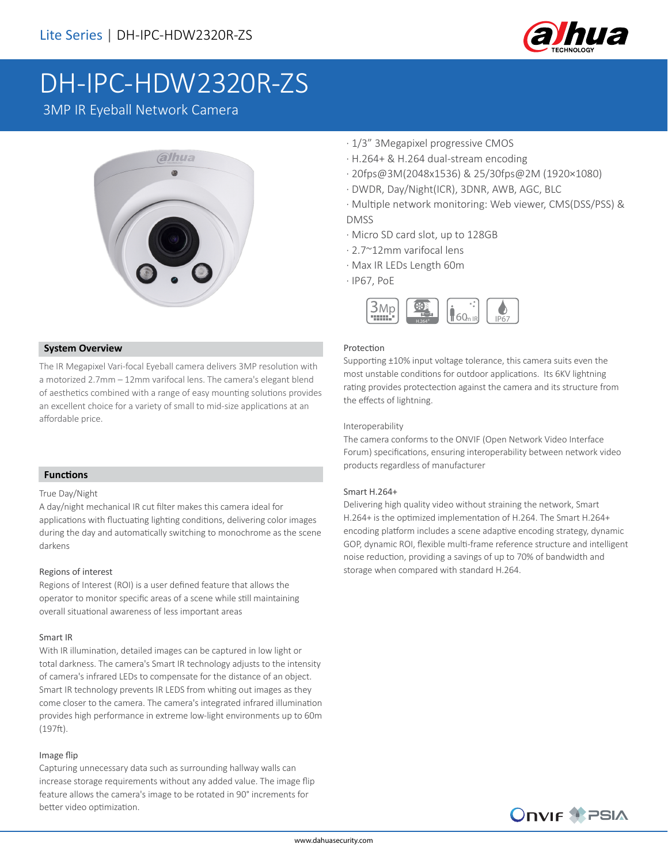

# DH-IPC-HDW2320R-ZS

3MP IR Eyeball Network Camera



#### **System Overview**

The IR Megapixel Vari-focal Eyeball camera delivers 3MP resolution with a motorized 2.7mm – 12mm varifocal lens. The camera's elegant blend of aesthetics combined with a range of easy mounting solutions provides an excellent choice for a variety of small to mid-size applications at an affordable price.

## · 1/3" 3Megapixel progressive CMOS

- · H.264+ & H.264 dual-stream encoding
- · 20fps@3M(2048x1536) & 25/30fps@2M (1920×1080)
- · DWDR, Day/Night(ICR), 3DNR, AWB, AGC, BLC
- · Multiple network monitoring: Web viewer, CMS(DSS/PSS) & DMSS
- · Micro SD card slot, up to 128GB
- · 2.7~12mm varifocal lens
- · Max IR LEDs Length 60m
- · IP67, PoE



#### Protection

Supporting ±10% input voltage tolerance, this camera suits even the most unstable conditions for outdoor applications. Its 6KV lightning rating provides protectection against the camera and its structure from the effects of lightning.

#### Interoperability

The camera conforms to the ONVIF (Open Network Video Interface Forum) specifications, ensuring interoperability between network video products regardless of manufacturer

#### Smart H.264+

Delivering high quality video without straining the network, Smart H.264+ is the optimized implementation of H.264. The Smart H.264+ encoding platform includes a scene adaptive encoding strategy, dynamic GOP, dynamic ROI, flexible multi-frame reference structure and intelligent noise reduction, providing a savings of up to 70% of bandwidth and storage when compared with standard H.264.

#### **Functions**

#### True Day/Night

A day/night mechanical IR cut filter makes this camera ideal for applications with fluctuating lighting conditions, delivering color images during the day and automatically switching to monochrome as the scene darkens

#### Regions of interest

Regions of Interest (ROI) is a user defined feature that allows the operator to monitor specific areas of a scene while still maintaining overall situational awareness of less important areas

#### Smart IR

With IR illumination, detailed images can be captured in low light or total darkness. The camera's Smart IR technology adjusts to the intensity of camera's infrared LEDs to compensate for the distance of an object. Smart IR technology prevents IR LEDS from whiting out images as they come closer to the camera. The camera's integrated infrared illumination provides high performance in extreme low-light environments up to 60m (197ft).

#### Image flip

Capturing unnecessary data such as surrounding hallway walls can increase storage requirements without any added value. The image flip feature allows the camera's image to be rotated in 90° increments for better video optimization.

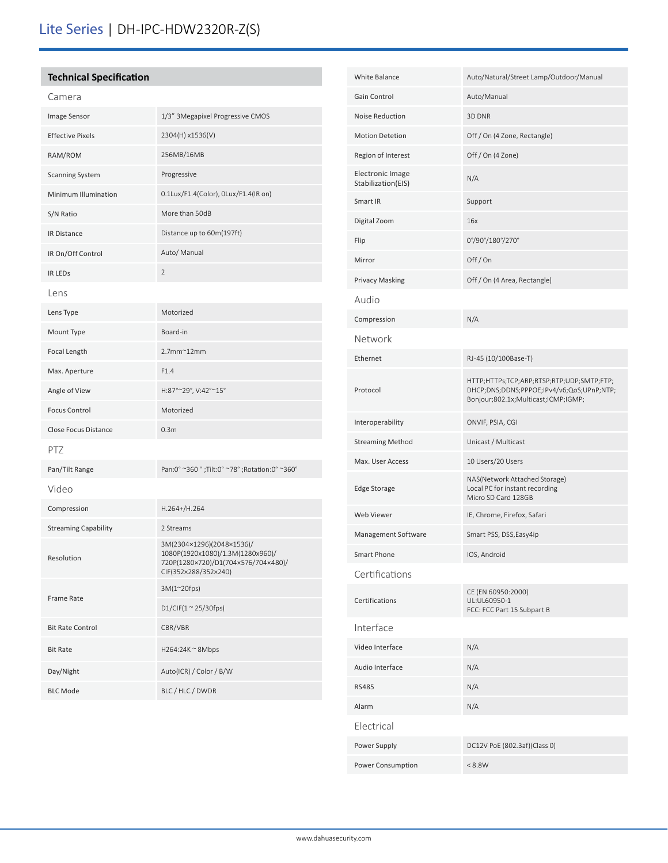# Lite Series | DH-IPC-HDW2320R-Z(S)

# **Technical Specification**

| Camera                      |                                                                                                                              |  |
|-----------------------------|------------------------------------------------------------------------------------------------------------------------------|--|
| Image Sensor                | 1/3" 3Megapixel Progressive CMOS                                                                                             |  |
| <b>Effective Pixels</b>     | 2304(H) x1536(V)                                                                                                             |  |
| RAM/ROM                     | 256MB/16MB                                                                                                                   |  |
| <b>Scanning System</b>      | Progressive                                                                                                                  |  |
| Minimum Illumination        | 0.1Lux/F1.4(Color), 0Lux/F1.4(IR on)                                                                                         |  |
| S/N Ratio                   | More than 50dB                                                                                                               |  |
| <b>IR Distance</b>          | Distance up to 60m(197ft)                                                                                                    |  |
| IR On/Off Control           | Auto/ Manual                                                                                                                 |  |
| <b>IR LEDS</b>              | $\overline{2}$                                                                                                               |  |
| Lens                        |                                                                                                                              |  |
| Lens Type                   | Motorized                                                                                                                    |  |
| Mount Type                  | Board-in                                                                                                                     |  |
| Focal Length                | $2.7$ mm $^{\sim}$ 12mm                                                                                                      |  |
| Max. Aperture               | F1.4                                                                                                                         |  |
| Angle of View               | H:87°~29°, V:42°~15°                                                                                                         |  |
| <b>Focus Control</b>        | Motorized                                                                                                                    |  |
| <b>Close Focus Distance</b> | 0.3 <sub>m</sub>                                                                                                             |  |
| PTZ                         |                                                                                                                              |  |
| Pan/Tilt Range              | Pan:0° ~360 °; Tilt:0° ~78°; Rotation:0° ~360°                                                                               |  |
| Video                       |                                                                                                                              |  |
| Compression                 | H.264+/H.264                                                                                                                 |  |
| <b>Streaming Capability</b> | 2 Streams                                                                                                                    |  |
| Resolution                  | 3M(2304×1296)(2048×1536)/<br>1080P(1920x1080)/1.3M(1280x960)/<br>720P(1280×720)/D1(704×576/704×480)/<br>CIF(352×288/352×240) |  |
| Frame Rate                  | 3M(1~20fps)                                                                                                                  |  |
|                             | D1/CIF(1 ~ 25/30fps)                                                                                                         |  |
| <b>Bit Rate Control</b>     | CBR/VBR                                                                                                                      |  |
| <b>Bit Rate</b>             | H264:24K ~ 8Mbps                                                                                                             |  |
| Day/Night                   | Auto(ICR) / Color / B/W                                                                                                      |  |
| <b>BLC Mode</b>             | BLC / HLC / DWDR                                                                                                             |  |

| <b>White Balance</b>                   | Auto/Natural/Street Lamp/Outdoor/Manual                                                                                       |
|----------------------------------------|-------------------------------------------------------------------------------------------------------------------------------|
| Gain Control                           | Auto/Manual                                                                                                                   |
| Noise Reduction                        | 3D DNR                                                                                                                        |
| <b>Motion Detetion</b>                 | Off / On (4 Zone, Rectangle)                                                                                                  |
| Region of Interest                     | Off / On (4 Zone)                                                                                                             |
| Electronic Image<br>Stabilization(EIS) | N/A                                                                                                                           |
| Smart IR                               | Support                                                                                                                       |
| Digital Zoom                           | 16x                                                                                                                           |
| Flip                                   | 0°/90°/180°/270°                                                                                                              |
| Mirror                                 | Off/On                                                                                                                        |
| <b>Privacy Masking</b>                 | Off / On (4 Area, Rectangle)                                                                                                  |
| Audio                                  |                                                                                                                               |
| Compression                            | N/A                                                                                                                           |
| Network                                |                                                                                                                               |
| Ethernet                               | RJ-45 (10/100Base-T)                                                                                                          |
| Protocol                               | HTTP;HTTPs;TCP;ARP;RTSP;RTP;UDP;SMTP;FTP;<br>DHCP;DNS;DDNS;PPPOE;IPv4/v6;QoS;UPnP;NTP;<br>Bonjour;802.1x;Multicast;ICMP;IGMP; |
| Interoperability                       | ONVIF, PSIA, CGI                                                                                                              |
| <b>Streaming Method</b>                | Unicast / Multicast                                                                                                           |
| Max. User Access                       | 10 Users/20 Users                                                                                                             |
| Edge Storage                           | NAS(Network Attached Storage)<br>Local PC for instant recording<br>Micro SD Card 128GB                                        |
| Web Viewer                             | IE, Chrome, Firefox, Safari                                                                                                   |
| Management Software                    | Smart PSS, DSS, Easy4ip                                                                                                       |
| <b>Smart Phone</b>                     | IOS, Android                                                                                                                  |
| Certifications                         |                                                                                                                               |
| Certifications                         | CE (EN 60950:2000)<br>UL:UL60950-1<br>FCC: FCC Part 15 Subpart B                                                              |
| Interface                              |                                                                                                                               |
| Video Interface                        | N/A                                                                                                                           |
| Audio Interface                        | N/A                                                                                                                           |
| <b>RS485</b>                           | N/A                                                                                                                           |
| Alarm                                  | N/A                                                                                                                           |
| Electrical                             |                                                                                                                               |
| Power Supply                           | DC12V PoE (802.3af)(Class 0)                                                                                                  |
| Power Consumption                      | < 8.8W                                                                                                                        |